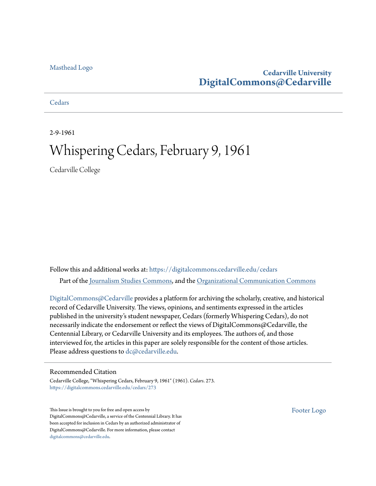#### [Masthead Logo](http://www.cedarville.edu/?utm_source=digitalcommons.cedarville.edu%2Fcedars%2F273&utm_medium=PDF&utm_campaign=PDFCoverPages)

# **Cedarville University [DigitalCommons@Cedarville](https://digitalcommons.cedarville.edu?utm_source=digitalcommons.cedarville.edu%2Fcedars%2F273&utm_medium=PDF&utm_campaign=PDFCoverPages)**

#### **[Cedars](https://digitalcommons.cedarville.edu/cedars?utm_source=digitalcommons.cedarville.edu%2Fcedars%2F273&utm_medium=PDF&utm_campaign=PDFCoverPages)**

2-9-1961

# Whispering Cedars, February 9, 1961

Cedarville College

Follow this and additional works at: [https://digitalcommons.cedarville.edu/cedars](https://digitalcommons.cedarville.edu/cedars?utm_source=digitalcommons.cedarville.edu%2Fcedars%2F273&utm_medium=PDF&utm_campaign=PDFCoverPages) Part of the [Journalism Studies Commons](http://network.bepress.com/hgg/discipline/333?utm_source=digitalcommons.cedarville.edu%2Fcedars%2F273&utm_medium=PDF&utm_campaign=PDFCoverPages), and the [Organizational Communication Commons](http://network.bepress.com/hgg/discipline/335?utm_source=digitalcommons.cedarville.edu%2Fcedars%2F273&utm_medium=PDF&utm_campaign=PDFCoverPages)

[DigitalCommons@Cedarville](http://digitalcommons.cedarville.edu/) provides a platform for archiving the scholarly, creative, and historical record of Cedarville University. The views, opinions, and sentiments expressed in the articles published in the university's student newspaper, Cedars (formerly Whispering Cedars), do not necessarily indicate the endorsement or reflect the views of DigitalCommons@Cedarville, the Centennial Library, or Cedarville University and its employees. The authors of, and those interviewed for, the articles in this paper are solely responsible for the content of those articles. Please address questions to [dc@cedarville.edu.](mailto:dc@cedarville.edu)

#### Recommended Citation

Cedarville College, "Whispering Cedars, February 9, 1961" (1961). *Cedars*. 273. [https://digitalcommons.cedarville.edu/cedars/273](https://digitalcommons.cedarville.edu/cedars/273?utm_source=digitalcommons.cedarville.edu%2Fcedars%2F273&utm_medium=PDF&utm_campaign=PDFCoverPages)

This Issue is brought to you for free and open access by DigitalCommons@Cedarville, a service of the Centennial Library. It has been accepted for inclusion in Cedars by an authorized administrator of DigitalCommons@Cedarville. For more information, please contact [digitalcommons@cedarville.edu](mailto:digitalcommons@cedarville.edu).

[Footer Logo](http://www.cedarville.edu/Academics/Library.aspx?utm_source=digitalcommons.cedarville.edu%2Fcedars%2F273&utm_medium=PDF&utm_campaign=PDFCoverPages)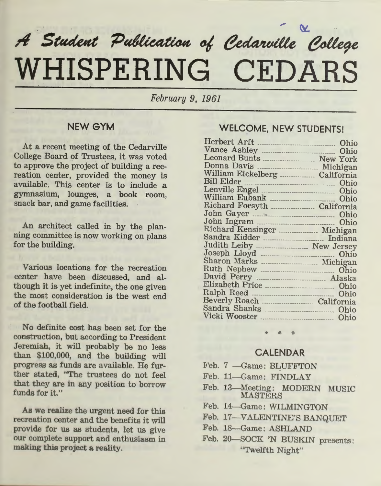# $A$  Student Publication of Cedarville College **WHISPERING CEDARS**

*February 9, 1961* 

# **NEW GYM**

At a recent meeting of the Cedarville College Board of Trustees, it was voted to approve the project of building a recreation center, provided the money is available. This center is to include <sup>a</sup> gymnasium, lounges, a book room, snack bar, and game facilities.

An architect called in by the planning committee is now working on plans for the building.

Various locations for the recreation center have been discussed, and although it is yet indefinite, the one given the most consideration is the west end of the football field.

No definite cost has been set for the construction, but according to President Jeremiah, it will probably be no less than \$100,000, and the building will progress as funds are available. He further stated, "The trustees do not feel that they are in any position to borrow funds for it."

As we realize the urgent need for this recreation center and the benefits it will provide for us as students, let us give our complete support and enthusiasm in making this project a reality.

## **WELCOME, NEW STUDENTS!**

| <b>Herbert Arft</b><br>----------------------------- | Ohio            |
|------------------------------------------------------|-----------------|
| Vance Ashley<br>------------------------------------ | Ohio            |
|                                                      | <b>New York</b> |
| Donna Davis                                          | Michigan        |
| William Eickelberg                                   | California      |
| Bill Elder                                           | Ohio            |
|                                                      | Ohio            |
|                                                      | Ohio            |
|                                                      |                 |
|                                                      | Ohio            |
|                                                      | Ohio            |
| Richard Kensinger  Michigan                          |                 |
| Sandra Kidder<br>------------------------------      | Indiana         |
| Judith Leiby ___________________ New Jersey          |                 |
|                                                      | Ohio            |
|                                                      |                 |
|                                                      | Ohio            |
| David Perry                                          |                 |
| Elizabeth Price                                      | Ohio            |
| Ralph Reed<br>                                       | Ohio            |
| <b>Beverly Roach</b>                                 | California      |
| Sandra Shanks                                        | Ohio            |
| Vicki Wooster                                        | Ohio            |
|                                                      |                 |

## **CALENDAR**

- Feb. 7 Game: BLUFFTON
- Feb. 11-Game: FINDLAY
- Feb. 13-Meeting: MODERN MUSIC **MASTERS**
- Feb. 14—Game: WILMINGTON
- Feb. 17-VALENTINE'S BANQUET
- Feb. 18-Game: ASHLAND
- Feb. 20-SOCK 'N BUSKIN presents: "Twelfth Night"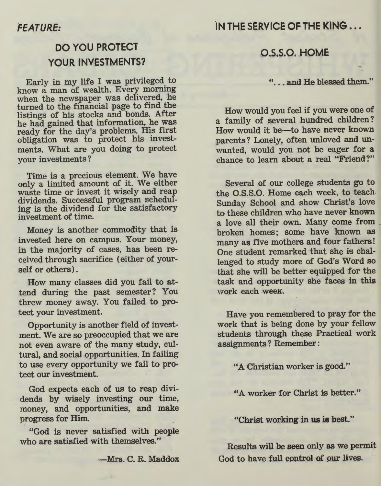# IN THE SERVICE OF THE KING...

# DO YOU PROTECT YOUR INVESTMENTS?

Early in my life I was privileged. to know a man of wealth. Every morning when the newspaper was delivered, he turned to the financial page to find the listings of his stocks and bonds. After he had gained that information, he was ready for the day's problems. His first obligation was to protect his investments. What are you doing to protect your investments?

Time is a precious element. We have only a limited amount of it. We either waste time or invest it wisely and reap dividends. Successful program scheduling is the dividend for the satisfactory investment of time.

Money is another commodity that is invested here on campus. Your money, in the majority of cases, has been received through sacrifice ( either of yourself or others) .

How many classes did you fail to attend during the past semester? You threw money away. You failed to protect your investment.

Opportunity is another field of investment. We are so preoccupied that we are not even aware of the many study, cultural, and social opportunities. In failing to use every opportunity we fail to protect our investment.

God expects each of us to reap dividends 'by wisely investing our time, money, and opportunities, and make progress for Him.

"God is never satisfied with people who are satisfied with themselves."

-Mrs. C. R. Maddox

## O.S.S.O. HOME

## "... and He blessed them."

How would you feel if you were one of a family of several hundred children? How would it be--to have never known parents? Lonely, often unloved and unwanted, would you not be eager for <sup>a</sup> chance to learn about a real "Friend?"

Several of our college students go to the O.S.S.0. Home each week, to teach. Sunday School and show Christ's love to these children who have never known a love all their own. Many come from broken homes; some have known as many as five mothers and four fathers! One student remarked that she is challenged to study more of God's Word so that she will be better equipped for the task and opportunity she faces in this <sup>w</sup>ork each weeK.

Have you remembered to pray for the work that is being done by your fellow students through these Practical work assignments? Remember:

"A Christian worker is good."

"A worker for Christ is better."

"Christ working in us is best."

Results will be seen only as we permit God to have full control of our lives.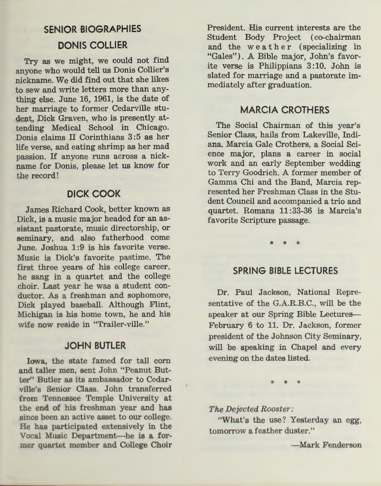# **SENIOR BIOGRAPHIES DONIS COLLIER**

Try as we might, we could not find anyone who would tell us Donis Collier's nickname. We did find out that she likes to sew and write letters more than anything else. June 16, 1961, is the date of her marriage to former Cedarville student, Dick Graven, who is presently attending Medical School in Chicago. Donis claims II Corinthians 3:5 as her life verse, and eating shrimp as her mad passion. If anyone runs across a nickname for Donis, please let us know for the record!

# **DICK COOK**

James Richard Cook, better known as Dick, is a music major headed for an assistant pastorate, music directorship, or seminary, and also fatherhood come June. Joshua 1:9 is his favorite verse. Music is Dick's favorite pastime. The first three years of his college career, he sang in a quartet and the college choir. Last year he was a student conductor. As a freshman and sophomore, Dick played baseball. Although Flint, Michigan is his home town, he and his wife now reside in "Trailer-ville."

## **JOHN BUTLER**

Iowa, the state famed for tall corn and taller men, sent John "Peanut Butter" Butler as its ambassador to Cedarville's Senior Class. John transferred from Tennessee Temple University at the end of his freshman year and has since been an active asset to our college. He has participated extensively in the Vocal Music Department-he is a former quartet member and College Choir

President. His current interests are the Student Body Project ( co-chairman and the weather (specializing in "Gales"). A Bible major, John's favorite verse is Philippians 3 :10. John is slated for marriage and a pastorate immediately after graduation.

## **MARCIA CROTHERS**

The Social Chairman of this year's Senior Class, hails from Lakeville, Indiana. Marcia Gale Crothers, a Social Science major, plans a career in social work and an early September wedding to Terry Goodrich. A former member of Gamma Chi and the Band, Marcia represented her Freshman Class in the Student Council and accompanied a trio and quartet. Romans 11 :33-36 is Marcia's favorite Scripture passage.

\* \* \*

## **SPRING BIBLE LECTURES**

Dr. Paul Jackson, National Representative of the G.A.R.B.C., will be the speaker at our Spring Bible Lectures-February 6 to 11. Dr. Jackson, former president of the Johnson City Seminary, will be speaking in Chapel and every evening on the dates listed.

The Dejected Rooster:

"What's the use? Yesterday an egg, tomorrow a feather duster."

-Mark Fenderson